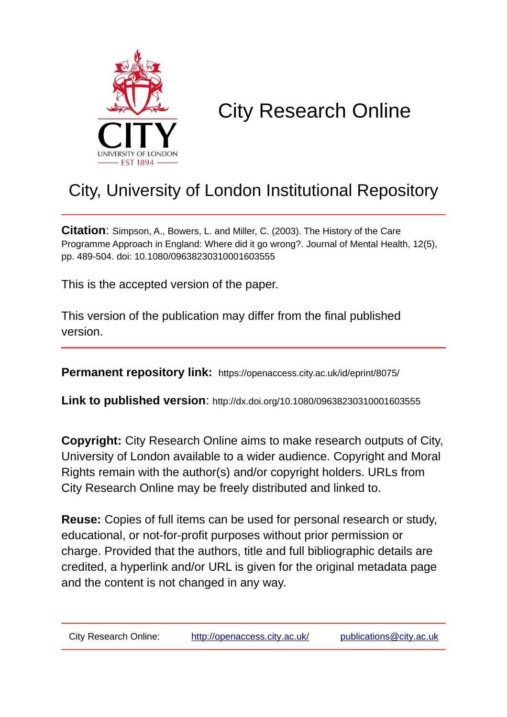

# City Research Online

## City, University of London Institutional Repository

**Citation**: Simpson, A., Bowers, L. and Miller, C. (2003). The History of the Care Programme Approach in England: Where did it go wrong?. Journal of Mental Health, 12(5), pp. 489-504. doi: 10.1080/09638230310001603555

This is the accepted version of the paper.

This version of the publication may differ from the final published version.

**Permanent repository link:** https://openaccess.city.ac.uk/id/eprint/8075/

**Link to published version**: http://dx.doi.org/10.1080/09638230310001603555

**Copyright:** City Research Online aims to make research outputs of City, University of London available to a wider audience. Copyright and Moral Rights remain with the author(s) and/or copyright holders. URLs from City Research Online may be freely distributed and linked to.

**Reuse:** Copies of full items can be used for personal research or study, educational, or not-for-profit purposes without prior permission or charge. Provided that the authors, title and full bibliographic details are credited, a hyperlink and/or URL is given for the original metadata page and the content is not changed in any way.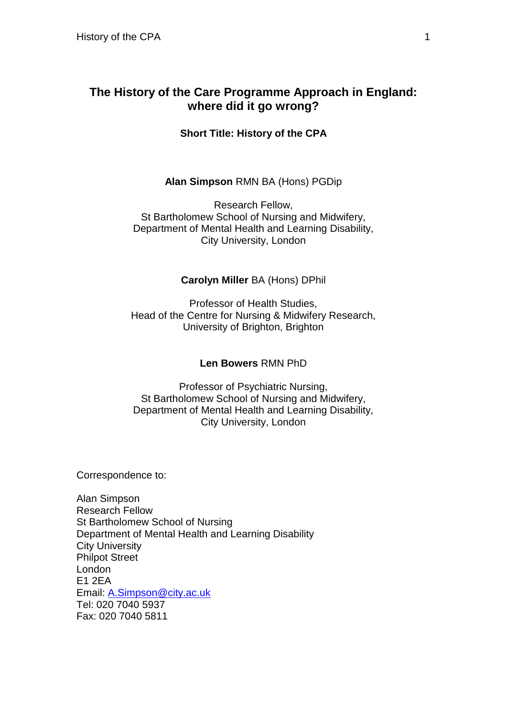## **The History of the Care Programme Approach in England: where did it go wrong?**

**Short Title: History of the CPA**

#### **Alan Simpson** RMN BA (Hons) PGDip

Research Fellow, St Bartholomew School of Nursing and Midwifery, Department of Mental Health and Learning Disability, City University, London

#### **Carolyn Miller** BA (Hons) DPhil

Professor of Health Studies, Head of the Centre for Nursing & Midwifery Research, University of Brighton, Brighton

#### **Len Bowers** RMN PhD

Professor of Psychiatric Nursing, St Bartholomew School of Nursing and Midwifery, Department of Mental Health and Learning Disability, City University, London

Correspondence to:

Alan Simpson Research Fellow St Bartholomew School of Nursing Department of Mental Health and Learning Disability City University Philpot Street London E1 2EA Email: A.Simpson@city.ac.uk Tel: 020 7040 5937 Fax: 020 7040 5811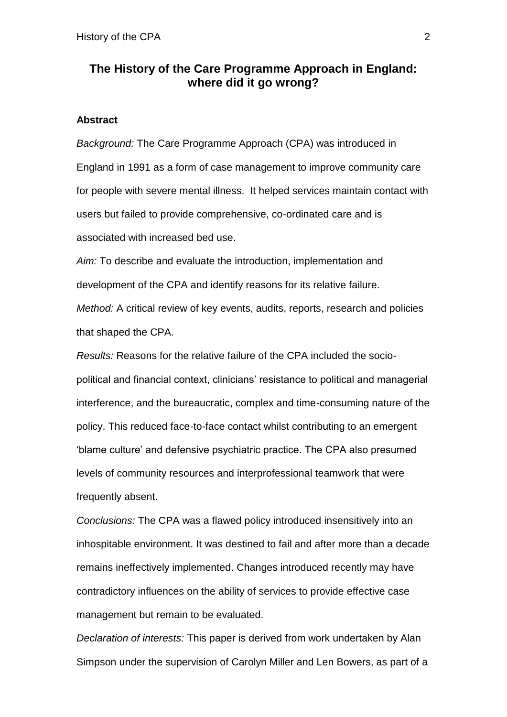## **The History of the Care Programme Approach in England: where did it go wrong?**

#### **Abstract**

*Background:* The Care Programme Approach (CPA) was introduced in England in 1991 as a form of case management to improve community care for people with severe mental illness. It helped services maintain contact with users but failed to provide comprehensive, co-ordinated care and is associated with increased bed use.

*Aim:* To describe and evaluate the introduction, implementation and development of the CPA and identify reasons for its relative failure. *Method:* A critical review of key events, audits, reports, research and policies that shaped the CPA.

*Results:* Reasons for the relative failure of the CPA included the sociopolitical and financial context, clinicians' resistance to political and managerial interference, and the bureaucratic, complex and time-consuming nature of the policy. This reduced face-to-face contact whilst contributing to an emergent 'blame culture' and defensive psychiatric practice. The CPA also presumed levels of community resources and interprofessional teamwork that were frequently absent.

*Conclusions:* The CPA was a flawed policy introduced insensitively into an inhospitable environment. It was destined to fail and after more than a decade remains ineffectively implemented. Changes introduced recently may have contradictory influences on the ability of services to provide effective case management but remain to be evaluated.

*Declaration of interests:* This paper is derived from work undertaken by Alan Simpson under the supervision of Carolyn Miller and Len Bowers, as part of a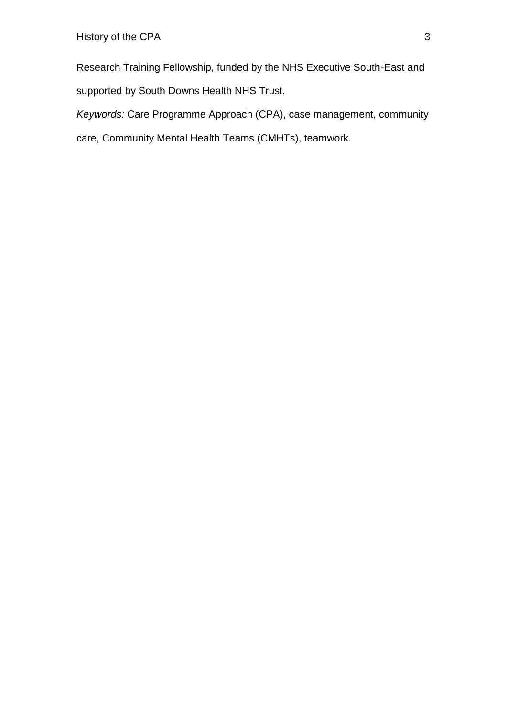Research Training Fellowship, funded by the NHS Executive South-East and supported by South Downs Health NHS Trust.

*Keywords:* Care Programme Approach (CPA), case management, community care, Community Mental Health Teams (CMHTs), teamwork.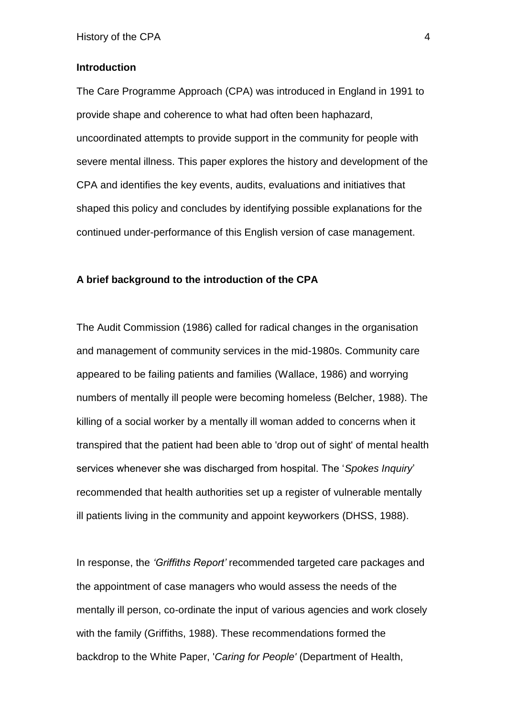#### **Introduction**

The Care Programme Approach (CPA) was introduced in England in 1991 to provide shape and coherence to what had often been haphazard, uncoordinated attempts to provide support in the community for people with severe mental illness. This paper explores the history and development of the CPA and identifies the key events, audits, evaluations and initiatives that shaped this policy and concludes by identifying possible explanations for the continued under-performance of this English version of case management.

#### **A brief background to the introduction of the CPA**

The Audit Commission (1986) called for radical changes in the organisation and management of community services in the mid-1980s. Community care appeared to be failing patients and families (Wallace, 1986) and worrying numbers of mentally ill people were becoming homeless (Belcher, 1988). The killing of a social worker by a mentally ill woman added to concerns when it transpired that the patient had been able to 'drop out of sight' of mental health services whenever she was discharged from hospital. The '*Spokes Inquiry*' recommended that health authorities set up a register of vulnerable mentally ill patients living in the community and appoint keyworkers (DHSS, 1988).

In response, the *'Griffiths Report'* recommended targeted care packages and the appointment of case managers who would assess the needs of the mentally ill person, co-ordinate the input of various agencies and work closely with the family (Griffiths, 1988). These recommendations formed the backdrop to the White Paper, '*Caring for People'* (Department of Health,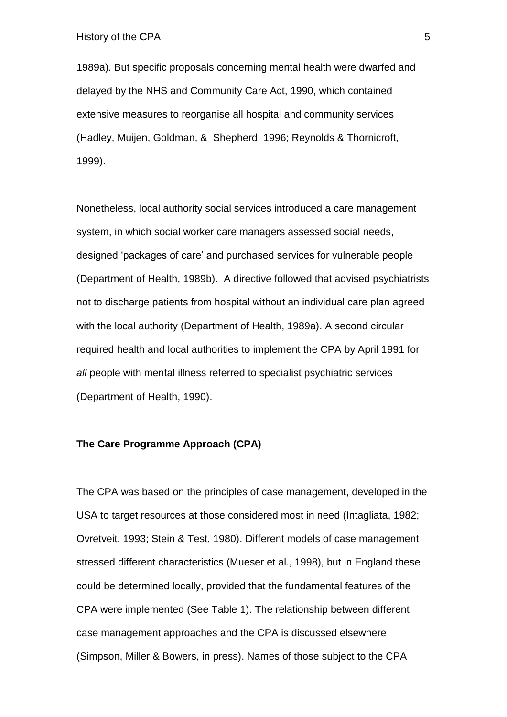1989a). But specific proposals concerning mental health were dwarfed and delayed by the NHS and Community Care Act, 1990, which contained extensive measures to reorganise all hospital and community services (Hadley, Muijen, Goldman, & Shepherd, 1996; Reynolds & Thornicroft, 1999).

Nonetheless, local authority social services introduced a care management system, in which social worker care managers assessed social needs, designed 'packages of care' and purchased services for vulnerable people (Department of Health, 1989b). A directive followed that advised psychiatrists not to discharge patients from hospital without an individual care plan agreed with the local authority (Department of Health, 1989a). A second circular required health and local authorities to implement the CPA by April 1991 for *all* people with mental illness referred to specialist psychiatric services (Department of Health, 1990).

#### **The Care Programme Approach (CPA)**

The CPA was based on the principles of case management, developed in the USA to target resources at those considered most in need (Intagliata, 1982; Ovretveit, 1993; Stein & Test, 1980). Different models of case management stressed different characteristics (Mueser et al., 1998), but in England these could be determined locally, provided that the fundamental features of the CPA were implemented (See Table 1). The relationship between different case management approaches and the CPA is discussed elsewhere (Simpson, Miller & Bowers, in press). Names of those subject to the CPA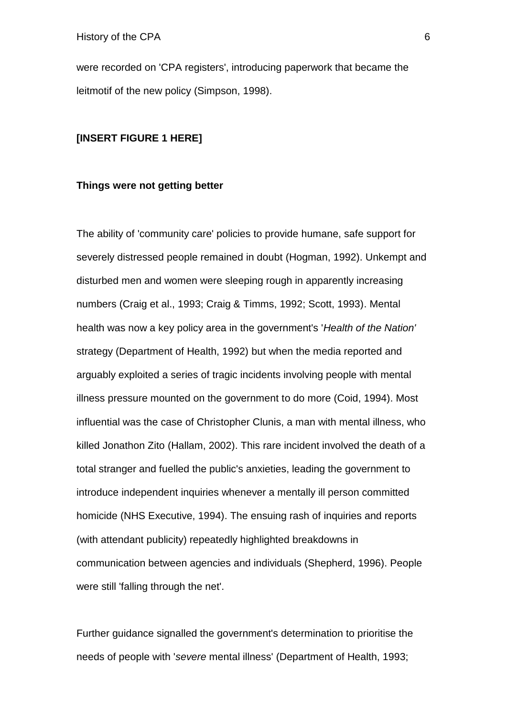were recorded on 'CPA registers', introducing paperwork that became the leitmotif of the new policy (Simpson, 1998).

#### **[INSERT FIGURE 1 HERE]**

#### **Things were not getting better**

The ability of 'community care' policies to provide humane, safe support for severely distressed people remained in doubt (Hogman, 1992). Unkempt and disturbed men and women were sleeping rough in apparently increasing numbers (Craig et al., 1993; Craig & Timms, 1992; Scott, 1993). Mental health was now a key policy area in the government's '*Health of the Nation'*  strategy (Department of Health, 1992) but when the media reported and arguably exploited a series of tragic incidents involving people with mental illness pressure mounted on the government to do more (Coid, 1994). Most influential was the case of Christopher Clunis, a man with mental illness, who killed Jonathon Zito (Hallam, 2002). This rare incident involved the death of a total stranger and fuelled the public's anxieties, leading the government to introduce independent inquiries whenever a mentally ill person committed homicide (NHS Executive, 1994). The ensuing rash of inquiries and reports (with attendant publicity) repeatedly highlighted breakdowns in communication between agencies and individuals (Shepherd, 1996). People were still 'falling through the net'.

Further guidance signalled the government's determination to prioritise the needs of people with '*severe* mental illness' (Department of Health, 1993;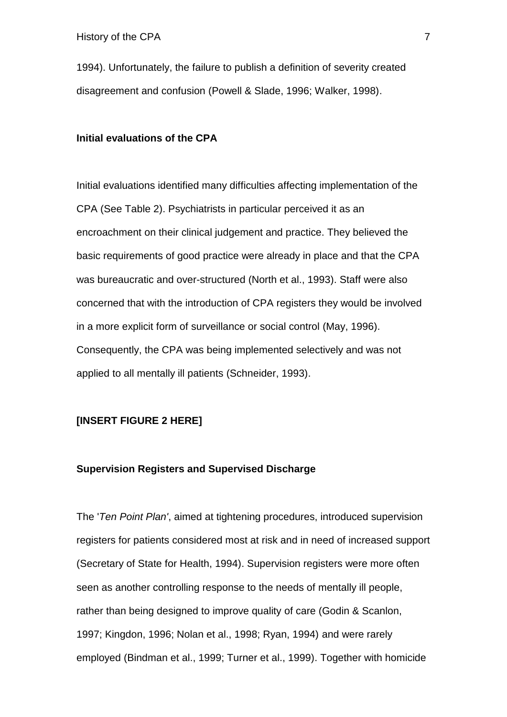1994). Unfortunately, the failure to publish a definition of severity created disagreement and confusion (Powell & Slade, 1996; Walker, 1998).

#### **Initial evaluations of the CPA**

Initial evaluations identified many difficulties affecting implementation of the CPA (See Table 2). Psychiatrists in particular perceived it as an encroachment on their clinical judgement and practice. They believed the basic requirements of good practice were already in place and that the CPA was bureaucratic and over-structured (North et al., 1993). Staff were also concerned that with the introduction of CPA registers they would be involved in a more explicit form of surveillance or social control (May, 1996). Consequently, the CPA was being implemented selectively and was not applied to all mentally ill patients (Schneider, 1993).

#### **[INSERT FIGURE 2 HERE]**

#### **Supervision Registers and Supervised Discharge**

The '*Ten Point Plan'*, aimed at tightening procedures, introduced supervision registers for patients considered most at risk and in need of increased support (Secretary of State for Health, 1994). Supervision registers were more often seen as another controlling response to the needs of mentally ill people, rather than being designed to improve quality of care (Godin & Scanlon, 1997; Kingdon, 1996; Nolan et al., 1998; Ryan, 1994) and were rarely employed (Bindman et al., 1999; Turner et al., 1999). Together with homicide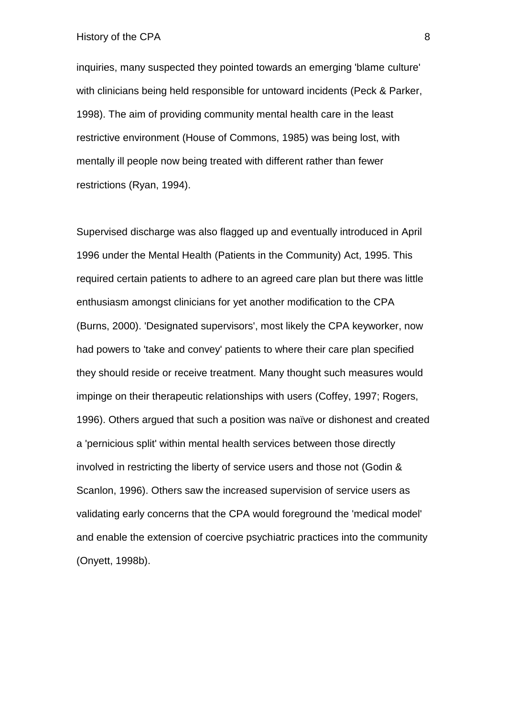History of the CPA 8

inquiries, many suspected they pointed towards an emerging 'blame culture' with clinicians being held responsible for untoward incidents (Peck & Parker, 1998). The aim of providing community mental health care in the least restrictive environment (House of Commons, 1985) was being lost, with mentally ill people now being treated with different rather than fewer restrictions (Ryan, 1994).

Supervised discharge was also flagged up and eventually introduced in April 1996 under the Mental Health (Patients in the Community) Act, 1995. This required certain patients to adhere to an agreed care plan but there was little enthusiasm amongst clinicians for yet another modification to the CPA (Burns, 2000). 'Designated supervisors', most likely the CPA keyworker, now had powers to 'take and convey' patients to where their care plan specified they should reside or receive treatment. Many thought such measures would impinge on their therapeutic relationships with users (Coffey, 1997; Rogers, 1996). Others argued that such a position was naïve or dishonest and created a 'pernicious split' within mental health services between those directly involved in restricting the liberty of service users and those not (Godin & Scanlon, 1996). Others saw the increased supervision of service users as validating early concerns that the CPA would foreground the 'medical model' and enable the extension of coercive psychiatric practices into the community (Onyett, 1998b).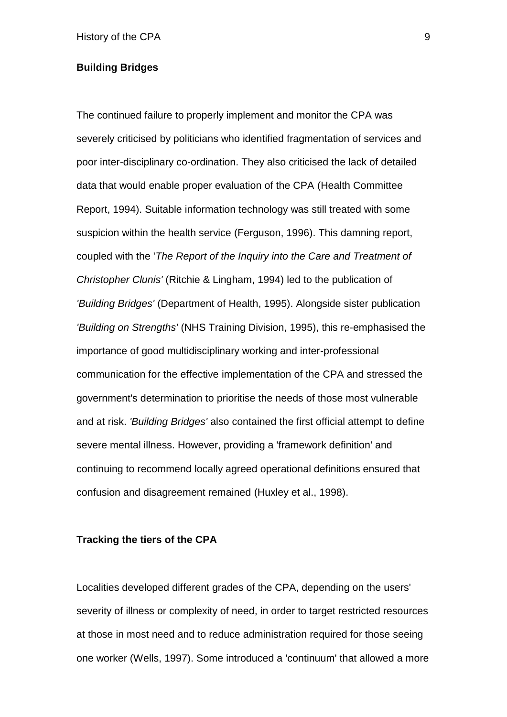#### **Building Bridges**

The continued failure to properly implement and monitor the CPA was severely criticised by politicians who identified fragmentation of services and poor inter-disciplinary co-ordination. They also criticised the lack of detailed data that would enable proper evaluation of the CPA (Health Committee Report, 1994). Suitable information technology was still treated with some suspicion within the health service (Ferguson, 1996). This damning report, coupled with the '*The Report of the Inquiry into the Care and Treatment of Christopher Clunis'* (Ritchie & Lingham, 1994) led to the publication of *'Building Bridges'* (Department of Health, 1995). Alongside sister publication *'Building on Strengths'* (NHS Training Division, 1995), this re-emphasised the importance of good multidisciplinary working and inter-professional communication for the effective implementation of the CPA and stressed the government's determination to prioritise the needs of those most vulnerable and at risk. *'Building Bridges'* also contained the first official attempt to define severe mental illness. However, providing a 'framework definition' and continuing to recommend locally agreed operational definitions ensured that confusion and disagreement remained (Huxley et al., 1998).

#### **Tracking the tiers of the CPA**

Localities developed different grades of the CPA, depending on the users' severity of illness or complexity of need, in order to target restricted resources at those in most need and to reduce administration required for those seeing one worker (Wells, 1997). Some introduced a 'continuum' that allowed a more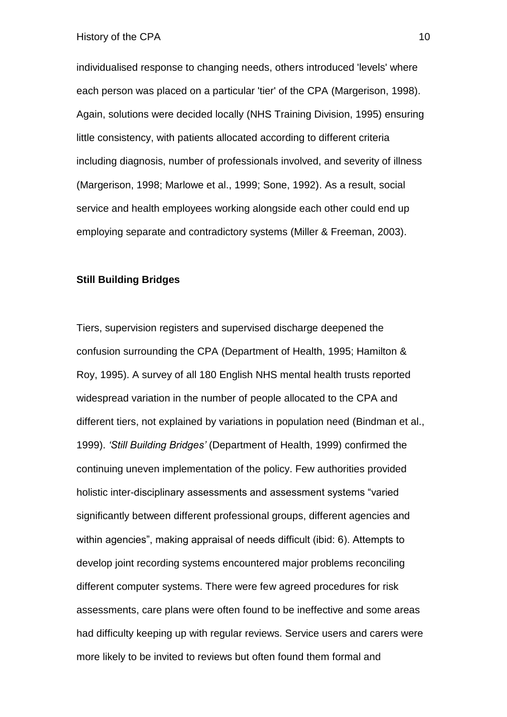individualised response to changing needs, others introduced 'levels' where each person was placed on a particular 'tier' of the CPA (Margerison, 1998). Again, solutions were decided locally (NHS Training Division, 1995) ensuring little consistency, with patients allocated according to different criteria including diagnosis, number of professionals involved, and severity of illness (Margerison, 1998; Marlowe et al., 1999; Sone, 1992). As a result, social service and health employees working alongside each other could end up employing separate and contradictory systems (Miller & Freeman, 2003).

#### **Still Building Bridges**

Tiers, supervision registers and supervised discharge deepened the confusion surrounding the CPA (Department of Health, 1995; Hamilton & Roy, 1995). A survey of all 180 English NHS mental health trusts reported widespread variation in the number of people allocated to the CPA and different tiers, not explained by variations in population need (Bindman et al., 1999). *'Still Building Bridges'* (Department of Health, 1999) confirmed the continuing uneven implementation of the policy. Few authorities provided holistic inter-disciplinary assessments and assessment systems "varied significantly between different professional groups, different agencies and within agencies", making appraisal of needs difficult (ibid: 6). Attempts to develop joint recording systems encountered major problems reconciling different computer systems. There were few agreed procedures for risk assessments, care plans were often found to be ineffective and some areas had difficulty keeping up with regular reviews. Service users and carers were more likely to be invited to reviews but often found them formal and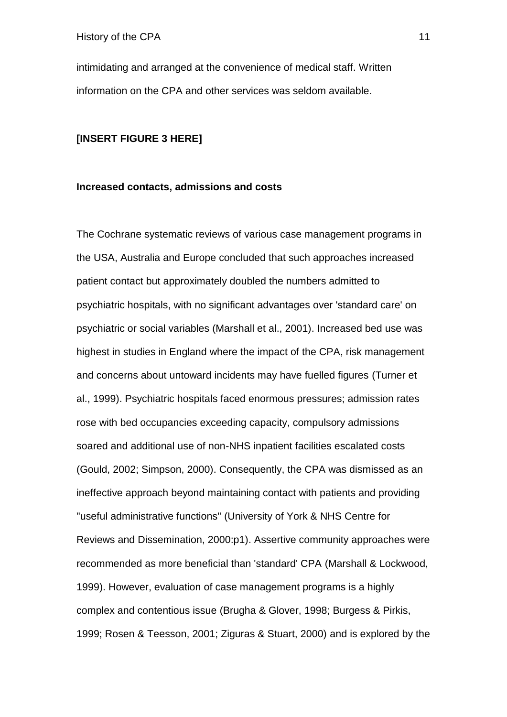intimidating and arranged at the convenience of medical staff. Written information on the CPA and other services was seldom available.

#### **[INSERT FIGURE 3 HERE]**

#### **Increased contacts, admissions and costs**

The Cochrane systematic reviews of various case management programs in the USA, Australia and Europe concluded that such approaches increased patient contact but approximately doubled the numbers admitted to psychiatric hospitals, with no significant advantages over 'standard care' on psychiatric or social variables (Marshall et al., 2001). Increased bed use was highest in studies in England where the impact of the CPA, risk management and concerns about untoward incidents may have fuelled figures (Turner et al., 1999). Psychiatric hospitals faced enormous pressures; admission rates rose with bed occupancies exceeding capacity, compulsory admissions soared and additional use of non-NHS inpatient facilities escalated costs (Gould, 2002; Simpson, 2000). Consequently, the CPA was dismissed as an ineffective approach beyond maintaining contact with patients and providing "useful administrative functions" (University of York & NHS Centre for Reviews and Dissemination, 2000:p1). Assertive community approaches were recommended as more beneficial than 'standard' CPA (Marshall & Lockwood, 1999). However, evaluation of case management programs is a highly complex and contentious issue (Brugha & Glover, 1998; Burgess & Pirkis, 1999; Rosen & Teesson, 2001; Ziguras & Stuart, 2000) and is explored by the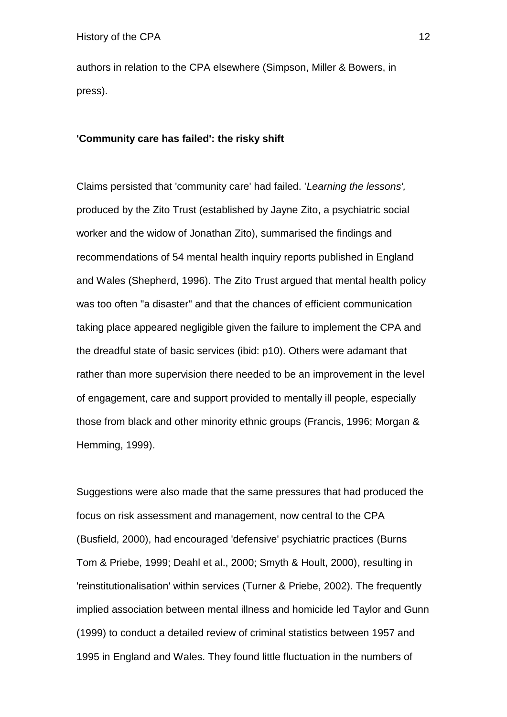authors in relation to the CPA elsewhere (Simpson, Miller & Bowers, in press).

#### **'Community care has failed': the risky shift**

Claims persisted that 'community care' had failed. '*Learning the lessons',*  produced by the Zito Trust (established by Jayne Zito, a psychiatric social worker and the widow of Jonathan Zito), summarised the findings and recommendations of 54 mental health inquiry reports published in England and Wales (Shepherd, 1996). The Zito Trust argued that mental health policy was too often "a disaster" and that the chances of efficient communication taking place appeared negligible given the failure to implement the CPA and the dreadful state of basic services (ibid: p10). Others were adamant that rather than more supervision there needed to be an improvement in the level of engagement, care and support provided to mentally ill people, especially those from black and other minority ethnic groups (Francis, 1996; Morgan & Hemming, 1999).

Suggestions were also made that the same pressures that had produced the focus on risk assessment and management, now central to the CPA (Busfield, 2000), had encouraged 'defensive' psychiatric practices (Burns Tom & Priebe, 1999; Deahl et al., 2000; Smyth & Hoult, 2000), resulting in 'reinstitutionalisation' within services (Turner & Priebe, 2002). The frequently implied association between mental illness and homicide led Taylor and Gunn (1999) to conduct a detailed review of criminal statistics between 1957 and 1995 in England and Wales. They found little fluctuation in the numbers of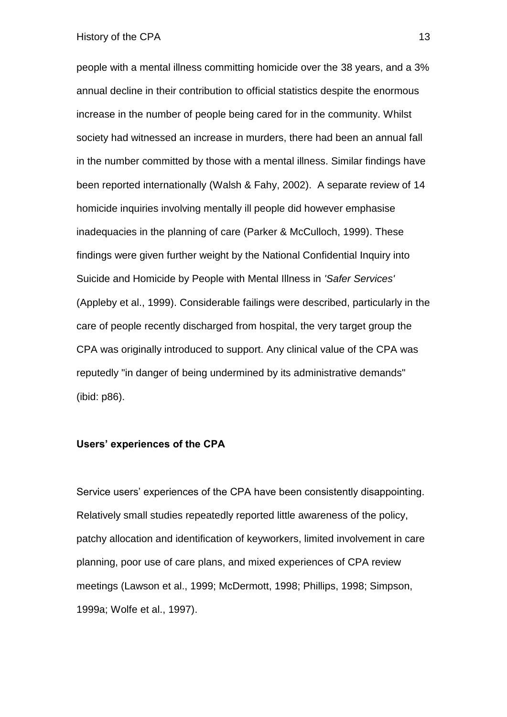#### History of the CPA 13

people with a mental illness committing homicide over the 38 years, and a 3% annual decline in their contribution to official statistics despite the enormous increase in the number of people being cared for in the community. Whilst society had witnessed an increase in murders, there had been an annual fall in the number committed by those with a mental illness. Similar findings have been reported internationally (Walsh & Fahy, 2002). A separate review of 14 homicide inquiries involving mentally ill people did however emphasise inadequacies in the planning of care (Parker & McCulloch, 1999). These findings were given further weight by the National Confidential Inquiry into Suicide and Homicide by People with Mental Illness in *'Safer Services'*  (Appleby et al., 1999). Considerable failings were described, particularly in the care of people recently discharged from hospital, the very target group the CPA was originally introduced to support. Any clinical value of the CPA was reputedly "in danger of being undermined by its administrative demands" (ibid: p86).

#### **Users' experiences of the CPA**

Service users' experiences of the CPA have been consistently disappointing. Relatively small studies repeatedly reported little awareness of the policy, patchy allocation and identification of keyworkers, limited involvement in care planning, poor use of care plans, and mixed experiences of CPA review meetings (Lawson et al., 1999; McDermott, 1998; Phillips, 1998; Simpson, 1999a; Wolfe et al., 1997).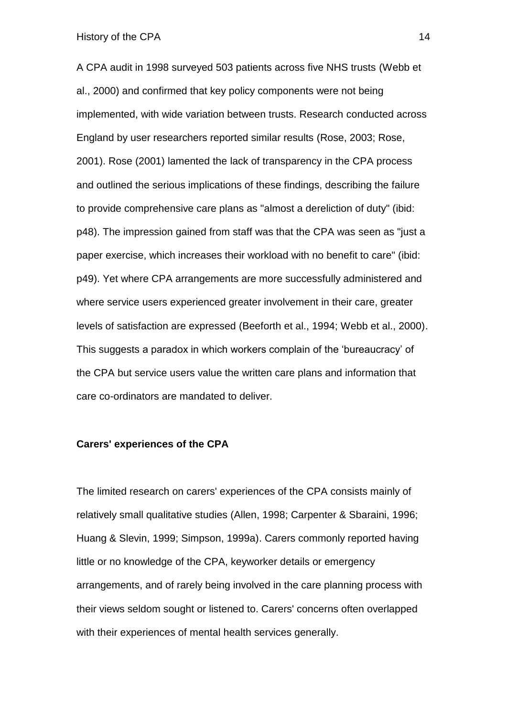History of the CPA 14

A CPA audit in 1998 surveyed 503 patients across five NHS trusts (Webb et al., 2000) and confirmed that key policy components were not being implemented, with wide variation between trusts. Research conducted across England by user researchers reported similar results (Rose, 2003; Rose, 2001). Rose (2001) lamented the lack of transparency in the CPA process and outlined the serious implications of these findings, describing the failure to provide comprehensive care plans as "almost a dereliction of duty" (ibid: p48). The impression gained from staff was that the CPA was seen as "just a paper exercise, which increases their workload with no benefit to care" (ibid: p49). Yet where CPA arrangements are more successfully administered and where service users experienced greater involvement in their care, greater levels of satisfaction are expressed (Beeforth et al., 1994; Webb et al., 2000). This suggests a paradox in which workers complain of the 'bureaucracy' of the CPA but service users value the written care plans and information that care co-ordinators are mandated to deliver.

#### **Carers' experiences of the CPA**

The limited research on carers' experiences of the CPA consists mainly of relatively small qualitative studies (Allen, 1998; Carpenter & Sbaraini, 1996; Huang & Slevin, 1999; Simpson, 1999a). Carers commonly reported having little or no knowledge of the CPA, keyworker details or emergency arrangements, and of rarely being involved in the care planning process with their views seldom sought or listened to. Carers' concerns often overlapped with their experiences of mental health services generally.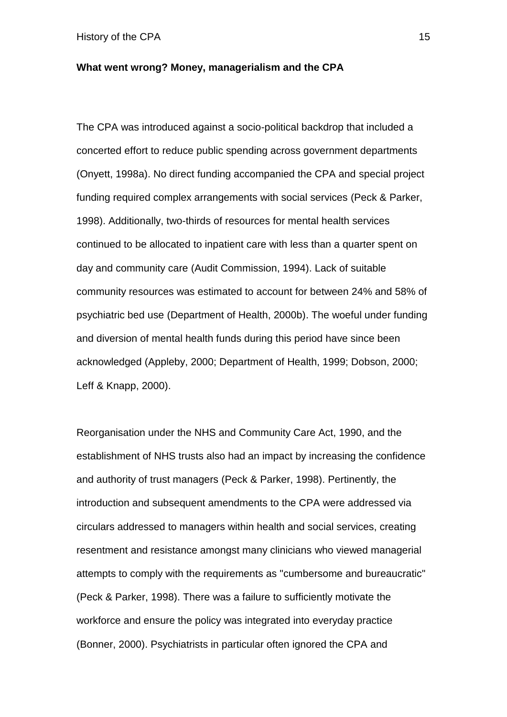#### **What went wrong? Money, managerialism and the CPA**

The CPA was introduced against a socio-political backdrop that included a concerted effort to reduce public spending across government departments (Onyett, 1998a). No direct funding accompanied the CPA and special project funding required complex arrangements with social services (Peck & Parker, 1998). Additionally, two-thirds of resources for mental health services continued to be allocated to inpatient care with less than a quarter spent on day and community care (Audit Commission, 1994). Lack of suitable community resources was estimated to account for between 24% and 58% of psychiatric bed use (Department of Health, 2000b). The woeful under funding and diversion of mental health funds during this period have since been acknowledged (Appleby, 2000; Department of Health, 1999; Dobson, 2000; Leff & Knapp, 2000).

Reorganisation under the NHS and Community Care Act, 1990, and the establishment of NHS trusts also had an impact by increasing the confidence and authority of trust managers (Peck & Parker, 1998). Pertinently, the introduction and subsequent amendments to the CPA were addressed via circulars addressed to managers within health and social services, creating resentment and resistance amongst many clinicians who viewed managerial attempts to comply with the requirements as "cumbersome and bureaucratic" (Peck & Parker, 1998). There was a failure to sufficiently motivate the workforce and ensure the policy was integrated into everyday practice (Bonner, 2000). Psychiatrists in particular often ignored the CPA and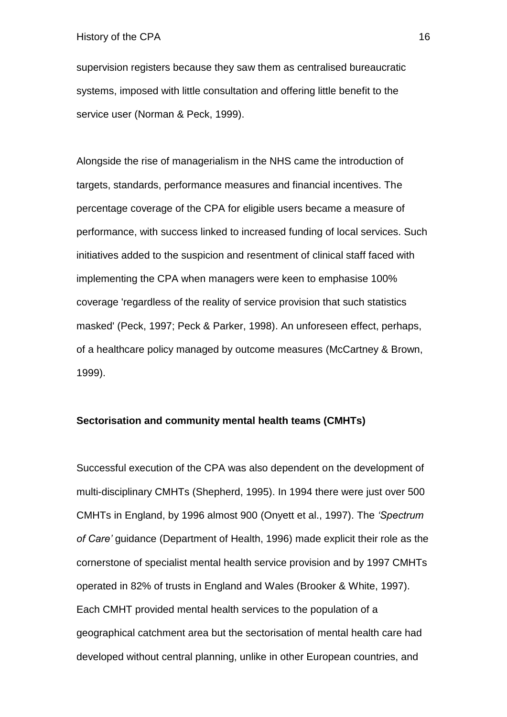supervision registers because they saw them as centralised bureaucratic systems, imposed with little consultation and offering little benefit to the service user (Norman & Peck, 1999).

Alongside the rise of managerialism in the NHS came the introduction of targets, standards, performance measures and financial incentives. The percentage coverage of the CPA for eligible users became a measure of performance, with success linked to increased funding of local services. Such initiatives added to the suspicion and resentment of clinical staff faced with implementing the CPA when managers were keen to emphasise 100% coverage 'regardless of the reality of service provision that such statistics masked' (Peck, 1997; Peck & Parker, 1998). An unforeseen effect, perhaps, of a healthcare policy managed by outcome measures (McCartney & Brown, 1999).

#### **Sectorisation and community mental health teams (CMHTs)**

Successful execution of the CPA was also dependent on the development of multi-disciplinary CMHTs (Shepherd, 1995). In 1994 there were just over 500 CMHTs in England, by 1996 almost 900 (Onyett et al., 1997). The *'Spectrum of Care'* guidance (Department of Health, 1996) made explicit their role as the cornerstone of specialist mental health service provision and by 1997 CMHTs operated in 82% of trusts in England and Wales (Brooker & White, 1997). Each CMHT provided mental health services to the population of a geographical catchment area but the sectorisation of mental health care had developed without central planning, unlike in other European countries, and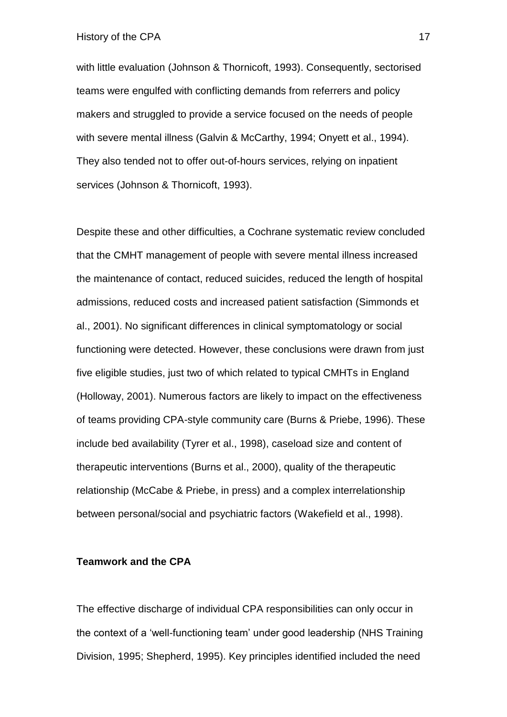with little evaluation (Johnson & Thornicoft, 1993). Consequently, sectorised teams were engulfed with conflicting demands from referrers and policy makers and struggled to provide a service focused on the needs of people with severe mental illness (Galvin & McCarthy, 1994; Onyett et al., 1994). They also tended not to offer out-of-hours services, relying on inpatient services (Johnson & Thornicoft, 1993).

Despite these and other difficulties, a Cochrane systematic review concluded that the CMHT management of people with severe mental illness increased the maintenance of contact, reduced suicides, reduced the length of hospital admissions, reduced costs and increased patient satisfaction (Simmonds et al., 2001). No significant differences in clinical symptomatology or social functioning were detected. However, these conclusions were drawn from just five eligible studies, just two of which related to typical CMHTs in England (Holloway, 2001). Numerous factors are likely to impact on the effectiveness of teams providing CPA-style community care (Burns & Priebe, 1996). These include bed availability (Tyrer et al., 1998), caseload size and content of therapeutic interventions (Burns et al., 2000), quality of the therapeutic relationship (McCabe & Priebe, in press) and a complex interrelationship between personal/social and psychiatric factors (Wakefield et al., 1998).

#### **Teamwork and the CPA**

The effective discharge of individual CPA responsibilities can only occur in the context of a 'well-functioning team' under good leadership (NHS Training Division, 1995; Shepherd, 1995). Key principles identified included the need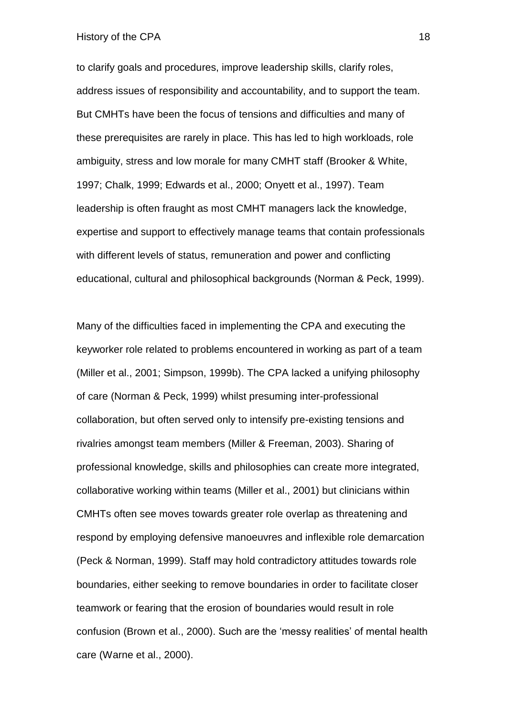#### History of the CPA 18

to clarify goals and procedures, improve leadership skills, clarify roles, address issues of responsibility and accountability, and to support the team. But CMHTs have been the focus of tensions and difficulties and many of these prerequisites are rarely in place. This has led to high workloads, role ambiguity, stress and low morale for many CMHT staff (Brooker & White, 1997; Chalk, 1999; Edwards et al., 2000; Onyett et al., 1997). Team leadership is often fraught as most CMHT managers lack the knowledge, expertise and support to effectively manage teams that contain professionals with different levels of status, remuneration and power and conflicting educational, cultural and philosophical backgrounds (Norman & Peck, 1999).

Many of the difficulties faced in implementing the CPA and executing the keyworker role related to problems encountered in working as part of a team (Miller et al., 2001; Simpson, 1999b). The CPA lacked a unifying philosophy of care (Norman & Peck, 1999) whilst presuming inter-professional collaboration, but often served only to intensify pre-existing tensions and rivalries amongst team members (Miller & Freeman, 2003). Sharing of professional knowledge, skills and philosophies can create more integrated, collaborative working within teams (Miller et al., 2001) but clinicians within CMHTs often see moves towards greater role overlap as threatening and respond by employing defensive manoeuvres and inflexible role demarcation (Peck & Norman, 1999). Staff may hold contradictory attitudes towards role boundaries, either seeking to remove boundaries in order to facilitate closer teamwork or fearing that the erosion of boundaries would result in role confusion (Brown et al., 2000). Such are the 'messy realities' of mental health care (Warne et al., 2000).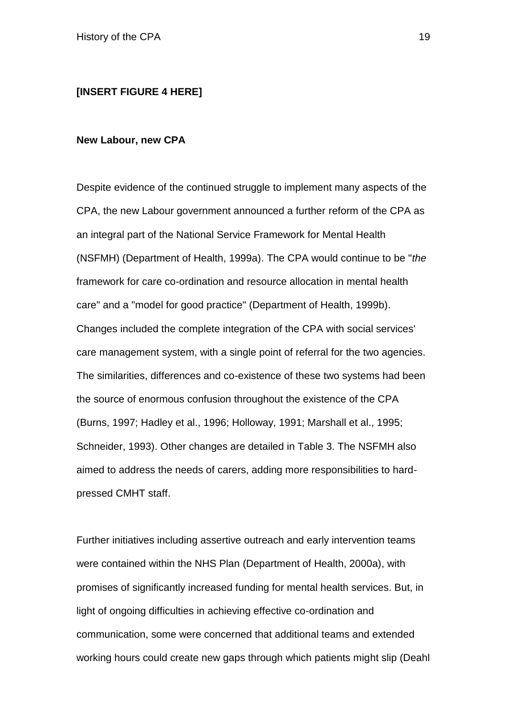#### **[INSERT FIGURE 4 HERE]**

#### **New Labour, new CPA**

Despite evidence of the continued struggle to implement many aspects of the CPA, the new Labour government announced a further reform of the CPA as an integral part of the National Service Framework for Mental Health (NSFMH) (Department of Health, 1999a). The CPA would continue to be "*the*  framework for care co-ordination and resource allocation in mental health care" and a "model for good practice" (Department of Health, 1999b). Changes included the complete integration of the CPA with social services' care management system, with a single point of referral for the two agencies. The similarities, differences and co-existence of these two systems had been the source of enormous confusion throughout the existence of the CPA (Burns, 1997; Hadley et al., 1996; Holloway, 1991; Marshall et al., 1995; Schneider, 1993). Other changes are detailed in Table 3. The NSFMH also aimed to address the needs of carers, adding more responsibilities to hardpressed CMHT staff.

Further initiatives including assertive outreach and early intervention teams were contained within the NHS Plan (Department of Health, 2000a), with promises of significantly increased funding for mental health services. But, in light of ongoing difficulties in achieving effective co-ordination and communication, some were concerned that additional teams and extended working hours could create new gaps through which patients might slip (Deahl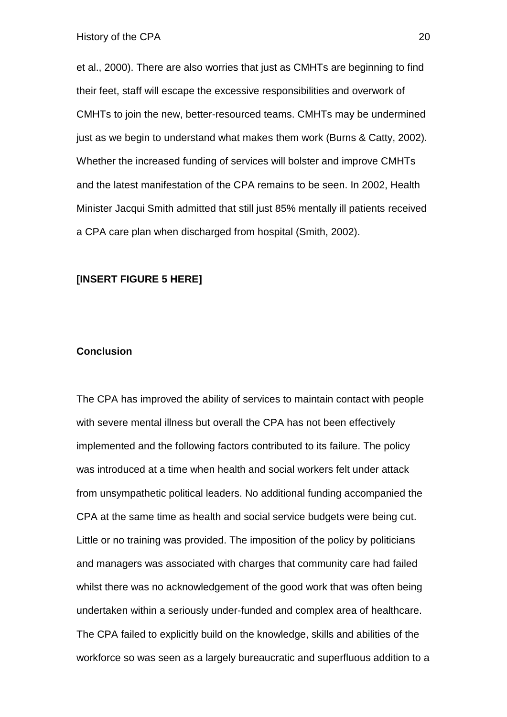et al., 2000). There are also worries that just as CMHTs are beginning to find their feet, staff will escape the excessive responsibilities and overwork of CMHTs to join the new, better-resourced teams. CMHTs may be undermined just as we begin to understand what makes them work (Burns & Catty, 2002). Whether the increased funding of services will bolster and improve CMHTs and the latest manifestation of the CPA remains to be seen. In 2002, Health Minister Jacqui Smith admitted that still just 85% mentally ill patients received a CPA care plan when discharged from hospital (Smith, 2002).

#### **[INSERT FIGURE 5 HERE]**

#### **Conclusion**

The CPA has improved the ability of services to maintain contact with people with severe mental illness but overall the CPA has not been effectively implemented and the following factors contributed to its failure. The policy was introduced at a time when health and social workers felt under attack from unsympathetic political leaders. No additional funding accompanied the CPA at the same time as health and social service budgets were being cut. Little or no training was provided. The imposition of the policy by politicians and managers was associated with charges that community care had failed whilst there was no acknowledgement of the good work that was often being undertaken within a seriously under-funded and complex area of healthcare. The CPA failed to explicitly build on the knowledge, skills and abilities of the workforce so was seen as a largely bureaucratic and superfluous addition to a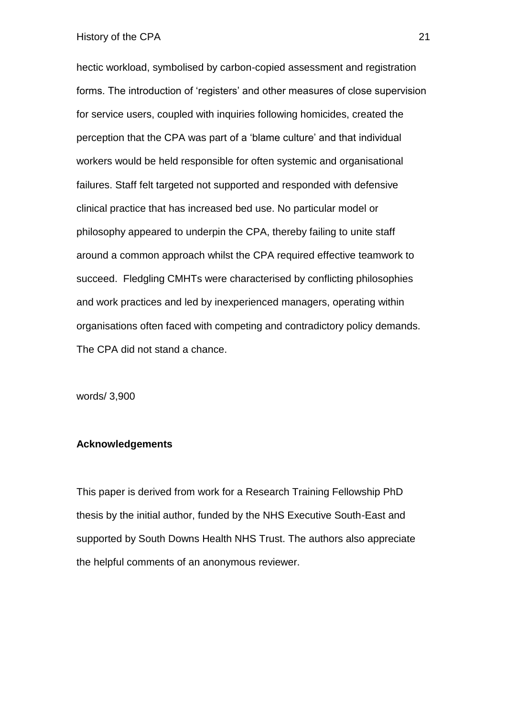hectic workload, symbolised by carbon-copied assessment and registration forms. The introduction of 'registers' and other measures of close supervision for service users, coupled with inquiries following homicides, created the perception that the CPA was part of a 'blame culture' and that individual workers would be held responsible for often systemic and organisational failures. Staff felt targeted not supported and responded with defensive clinical practice that has increased bed use. No particular model or philosophy appeared to underpin the CPA, thereby failing to unite staff around a common approach whilst the CPA required effective teamwork to succeed. Fledgling CMHTs were characterised by conflicting philosophies and work practices and led by inexperienced managers, operating within organisations often faced with competing and contradictory policy demands. The CPA did not stand a chance.

words/ 3,900

#### **Acknowledgements**

This paper is derived from work for a Research Training Fellowship PhD thesis by the initial author, funded by the NHS Executive South-East and supported by South Downs Health NHS Trust. The authors also appreciate the helpful comments of an anonymous reviewer.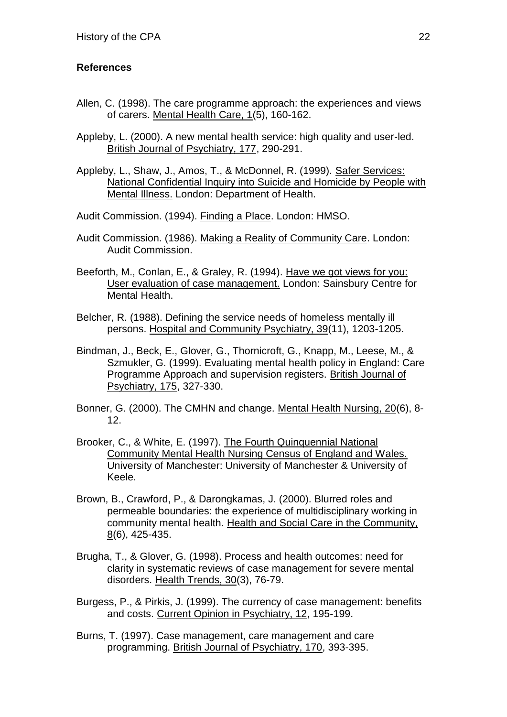### **References**

- Allen, C. (1998). The care programme approach: the experiences and views of carers. Mental Health Care, 1(5), 160-162.
- Appleby, L. (2000). A new mental health service: high quality and user-led. British Journal of Psychiatry, 177, 290-291.
- Appleby, L., Shaw, J., Amos, T., & McDonnel, R. (1999). Safer Services: National Confidential Inquiry into Suicide and Homicide by People with Mental Illness. London: Department of Health.
- Audit Commission. (1994). Finding a Place. London: HMSO.
- Audit Commission. (1986). Making a Reality of Community Care. London: Audit Commission.
- Beeforth, M., Conlan, E., & Graley, R. (1994). Have we got views for you: User evaluation of case management. London: Sainsbury Centre for Mental Health.
- Belcher, R. (1988). Defining the service needs of homeless mentally ill persons. Hospital and Community Psychiatry, 39(11), 1203-1205.
- Bindman, J., Beck, E., Glover, G., Thornicroft, G., Knapp, M., Leese, M., & Szmukler, G. (1999). Evaluating mental health policy in England: Care Programme Approach and supervision registers. British Journal of Psychiatry, 175, 327-330.
- Bonner, G. (2000). The CMHN and change. Mental Health Nursing, 20(6), 8- 12.
- Brooker, C., & White, E. (1997). The Fourth Quinquennial National Community Mental Health Nursing Census of England and Wales. University of Manchester: University of Manchester & University of Keele.
- Brown, B., Crawford, P., & Darongkamas, J. (2000). Blurred roles and permeable boundaries: the experience of multidisciplinary working in community mental health. Health and Social Care in the Community, 8(6), 425-435.
- Brugha, T., & Glover, G. (1998). Process and health outcomes: need for clarity in systematic reviews of case management for severe mental disorders. Health Trends, 30(3), 76-79.
- Burgess, P., & Pirkis, J. (1999). The currency of case management: benefits and costs. Current Opinion in Psychiatry, 12, 195-199.
- Burns, T. (1997). Case management, care management and care programming. British Journal of Psychiatry, 170, 393-395.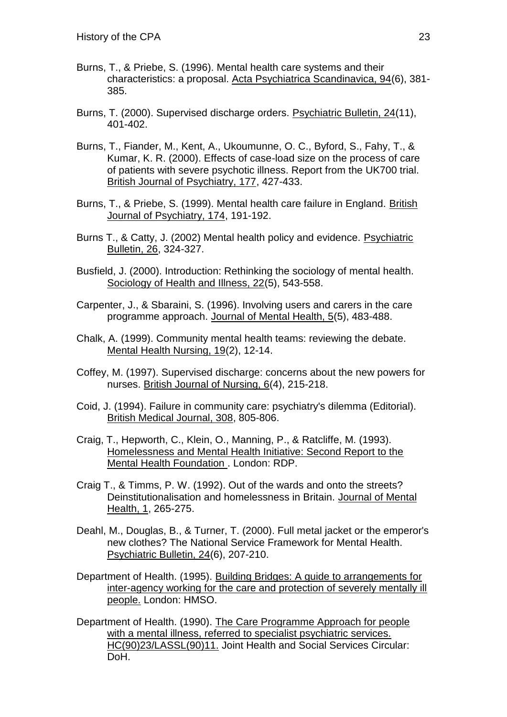- Burns, T., & Priebe, S. (1996). Mental health care systems and their characteristics: a proposal. Acta Psychiatrica Scandinavica, 94(6), 381- 385.
- Burns, T. (2000). Supervised discharge orders. Psychiatric Bulletin, 24(11), 401-402.
- Burns, T., Fiander, M., Kent, A., Ukoumunne, O. C., Byford, S., Fahy, T., & Kumar, K. R. (2000). Effects of case-load size on the process of care of patients with severe psychotic illness. Report from the UK700 trial. British Journal of Psychiatry, 177, 427-433.
- Burns, T., & Priebe, S. (1999). Mental health care failure in England. British Journal of Psychiatry, 174, 191-192.
- Burns T., & Catty, J. (2002) Mental health policy and evidence. Psychiatric Bulletin, 26, 324-327.
- Busfield, J. (2000). Introduction: Rethinking the sociology of mental health. Sociology of Health and Illness, 22(5), 543-558.
- Carpenter, J., & Sbaraini, S. (1996). Involving users and carers in the care programme approach. Journal of Mental Health, 5(5), 483-488.
- Chalk, A. (1999). Community mental health teams: reviewing the debate. Mental Health Nursing, 19(2), 12-14.
- Coffey, M. (1997). Supervised discharge: concerns about the new powers for nurses. British Journal of Nursing, 6(4), 215-218.
- Coid, J. (1994). Failure in community care: psychiatry's dilemma (Editorial). British Medical Journal, 308, 805-806.
- Craig, T., Hepworth, C., Klein, O., Manning, P., & Ratcliffe, M. (1993). Homelessness and Mental Health Initiative: Second Report to the Mental Health Foundation . London: RDP.
- Craig T., & Timms, P. W. (1992). Out of the wards and onto the streets? Deinstitutionalisation and homelessness in Britain. Journal of Mental Health, 1, 265-275.
- Deahl, M., Douglas, B., & Turner, T. (2000). Full metal jacket or the emperor's new clothes? The National Service Framework for Mental Health. Psychiatric Bulletin, 24(6), 207-210.
- Department of Health. (1995). Building Bridges: A guide to arrangements for inter-agency working for the care and protection of severely mentally ill people. London: HMSO.
- Department of Health. (1990). The Care Programme Approach for people with a mental illness, referred to specialist psychiatric services. HC(90)23/LASSL(90)11. Joint Health and Social Services Circular: DoH.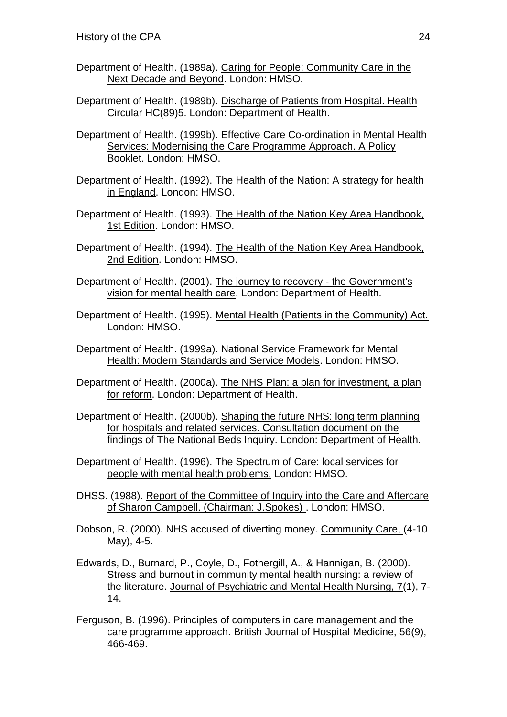- Department of Health. (1989a). Caring for People: Community Care in the Next Decade and Beyond. London: HMSO.
- Department of Health. (1989b). Discharge of Patients from Hospital. Health Circular HC(89)5. London: Department of Health.
- Department of Health. (1999b). Effective Care Co-ordination in Mental Health Services: Modernising the Care Programme Approach. A Policy Booklet. London: HMSO.
- Department of Health. (1992). The Health of the Nation: A strategy for health in England. London: HMSO.
- Department of Health. (1993). The Health of the Nation Key Area Handbook, 1st Edition. London: HMSO.
- Department of Health. (1994). The Health of the Nation Key Area Handbook, 2nd Edition. London: HMSO.
- Department of Health. (2001). The journey to recovery the Government's vision for mental health care. London: Department of Health.
- Department of Health. (1995). Mental Health (Patients in the Community) Act. London: HMSO.
- Department of Health. (1999a). National Service Framework for Mental Health: Modern Standards and Service Models. London: HMSO.
- Department of Health. (2000a). The NHS Plan: a plan for investment, a plan for reform. London: Department of Health.
- Department of Health. (2000b). Shaping the future NHS: long term planning for hospitals and related services. Consultation document on the findings of The National Beds Inquiry. London: Department of Health.
- Department of Health. (1996). The Spectrum of Care: local services for people with mental health problems. London: HMSO.
- DHSS. (1988). Report of the Committee of Inquiry into the Care and Aftercare of Sharon Campbell. (Chairman: J.Spokes) . London: HMSO.
- Dobson, R. (2000). NHS accused of diverting money. Community Care, (4-10 May), 4-5.
- Edwards, D., Burnard, P., Coyle, D., Fothergill, A., & Hannigan, B. (2000). Stress and burnout in community mental health nursing: a review of the literature. Journal of Psychiatric and Mental Health Nursing, 7(1), 7- 14.
- Ferguson, B. (1996). Principles of computers in care management and the care programme approach. British Journal of Hospital Medicine, 56(9), 466-469.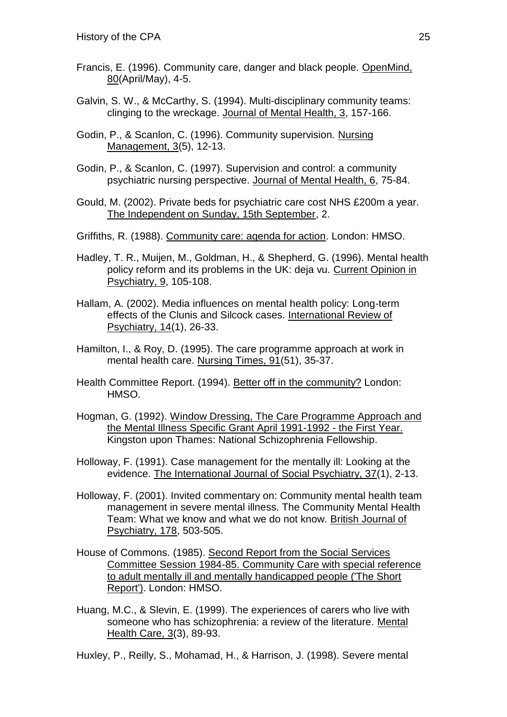- Francis, E. (1996). Community care, danger and black people. OpenMind, 80(April/May), 4-5.
- Galvin, S. W., & McCarthy, S. (1994). Multi-disciplinary community teams: clinging to the wreckage. Journal of Mental Health, 3, 157-166.
- Godin, P., & Scanlon, C. (1996). Community supervision. Nursing Management, 3(5), 12-13.
- Godin, P., & Scanlon, C. (1997). Supervision and control: a community psychiatric nursing perspective. Journal of Mental Health, 6, 75-84.
- Gould, M. (2002). Private beds for psychiatric care cost NHS £200m a year. The Independent on Sunday, 15th September, 2.
- Griffiths, R. (1988). Community care: agenda for action. London: HMSO.
- Hadley, T. R., Muijen, M., Goldman, H., & Shepherd, G. (1996). Mental health policy reform and its problems in the UK: deja vu. Current Opinion in Psychiatry, 9, 105-108.
- Hallam, A. (2002). Media influences on mental health policy: Long-term effects of the Clunis and Silcock cases. International Review of Psychiatry, 14(1), 26-33.
- Hamilton, I., & Roy, D. (1995). The care programme approach at work in mental health care. Nursing Times, 91(51), 35-37.
- Health Committee Report. (1994). Better off in the community? London: HMSO.
- Hogman, G. (1992). Window Dressing, The Care Programme Approach and the Mental Illness Specific Grant April 1991-1992 - the First Year. Kingston upon Thames: National Schizophrenia Fellowship.
- Holloway, F. (1991). Case management for the mentally ill: Looking at the evidence. The International Journal of Social Psychiatry, 37(1), 2-13.
- Holloway, F. (2001). Invited commentary on: Community mental health team management in severe mental illness. The Community Mental Health Team: What we know and what we do not know. British Journal of Psychiatry, 178, 503-505.
- House of Commons. (1985). Second Report from the Social Services Committee Session 1984-85. Community Care with special reference to adult mentally ill and mentally handicapped people ('The Short Report'). London: HMSO.
- Huang, M.C., & Slevin, E. (1999). The experiences of carers who live with someone who has schizophrenia: a review of the literature. Mental Health Care, 3(3), 89-93.
- Huxley, P., Reilly, S., Mohamad, H., & Harrison, J. (1998). Severe mental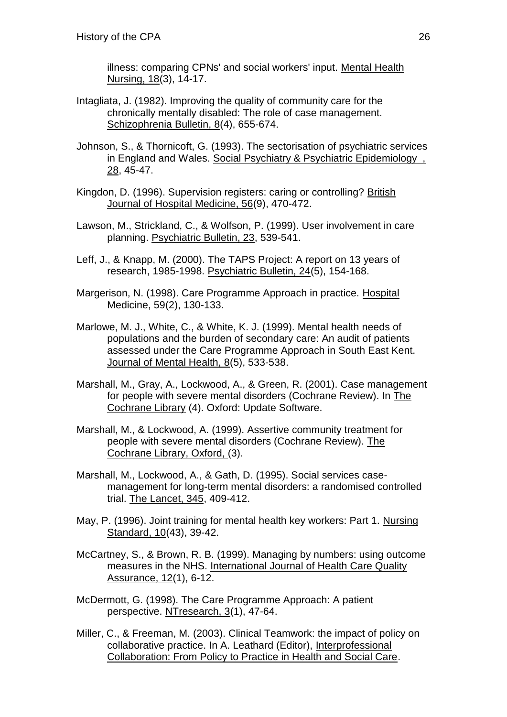illness: comparing CPNs' and social workers' input. Mental Health Nursing, 18(3), 14-17.

- Intagliata, J. (1982). Improving the quality of community care for the chronically mentally disabled: The role of case management. Schizophrenia Bulletin, 8(4), 655-674.
- Johnson, S., & Thornicoft, G. (1993). The sectorisation of psychiatric services in England and Wales. Social Psychiatry & Psychiatric Epidemiology , 28, 45-47.
- Kingdon, D. (1996). Supervision registers: caring or controlling? British Journal of Hospital Medicine, 56(9), 470-472.
- Lawson, M., Strickland, C., & Wolfson, P. (1999). User involvement in care planning. Psychiatric Bulletin, 23, 539-541.
- Leff, J., & Knapp, M. (2000). The TAPS Project: A report on 13 years of research, 1985-1998. Psychiatric Bulletin, 24(5), 154-168.
- Margerison, N. (1998). Care Programme Approach in practice. Hospital Medicine, 59(2), 130-133.
- Marlowe, M. J., White, C., & White, K. J. (1999). Mental health needs of populations and the burden of secondary care: An audit of patients assessed under the Care Programme Approach in South East Kent. Journal of Mental Health, 8(5), 533-538.
- Marshall, M., Gray, A., Lockwood, A., & Green, R. (2001). Case management for people with severe mental disorders (Cochrane Review). In The Cochrane Library (4). Oxford: Update Software.
- Marshall, M., & Lockwood, A. (1999). Assertive community treatment for people with severe mental disorders (Cochrane Review). The Cochrane Library, Oxford, (3).
- Marshall, M., Lockwood, A., & Gath, D. (1995). Social services casemanagement for long-term mental disorders: a randomised controlled trial. The Lancet, 345, 409-412.
- May, P. (1996). Joint training for mental health key workers: Part 1. Nursing Standard, 10(43), 39-42.
- McCartney, S., & Brown, R. B. (1999). Managing by numbers: using outcome measures in the NHS. International Journal of Health Care Quality Assurance, 12(1), 6-12.
- McDermott, G. (1998). The Care Programme Approach: A patient perspective. NTresearch, 3(1), 47-64.
- Miller, C., & Freeman, M. (2003). Clinical Teamwork: the impact of policy on collaborative practice. In A. Leathard (Editor), Interprofessional Collaboration: From Policy to Practice in Health and Social Care.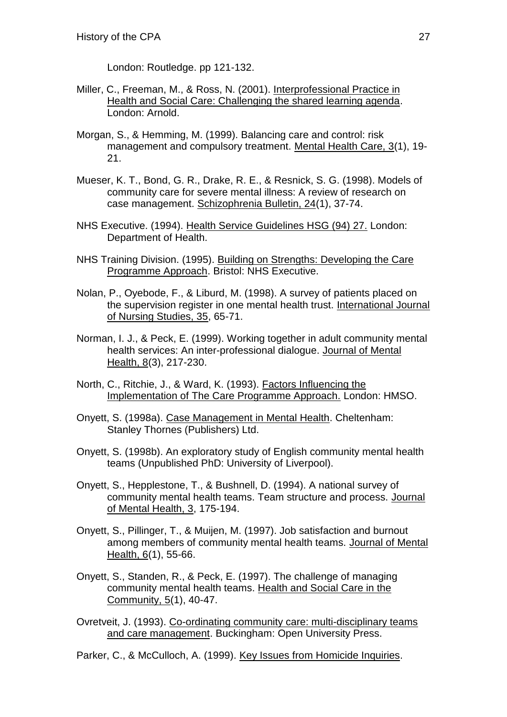London: Routledge. pp 121-132.

- Miller, C., Freeman, M., & Ross, N. (2001). Interprofessional Practice in Health and Social Care: Challenging the shared learning agenda. London: Arnold.
- Morgan, S., & Hemming, M. (1999). Balancing care and control: risk management and compulsory treatment. Mental Health Care, 3(1), 19- 21.
- Mueser, K. T., Bond, G. R., Drake, R. E., & Resnick, S. G. (1998). Models of community care for severe mental illness: A review of research on case management. Schizophrenia Bulletin, 24(1), 37-74.
- NHS Executive. (1994). Health Service Guidelines HSG (94) 27. London: Department of Health.
- NHS Training Division. (1995). Building on Strengths: Developing the Care Programme Approach. Bristol: NHS Executive.
- Nolan, P., Oyebode, F., & Liburd, M. (1998). A survey of patients placed on the supervision register in one mental health trust. International Journal of Nursing Studies, 35, 65-71.
- Norman, I. J., & Peck, E. (1999). Working together in adult community mental health services: An inter-professional dialogue. Journal of Mental Health, 8(3), 217-230.
- North, C., Ritchie, J., & Ward, K. (1993). Factors Influencing the Implementation of The Care Programme Approach. London: HMSO.
- Onyett, S. (1998a). Case Management in Mental Health. Cheltenham: Stanley Thornes (Publishers) Ltd.
- Onyett, S. (1998b). An exploratory study of English community mental health teams (Unpublished PhD: University of Liverpool).
- Onyett, S., Hepplestone, T., & Bushnell, D. (1994). A national survey of community mental health teams. Team structure and process. Journal of Mental Health, 3, 175-194.
- Onyett, S., Pillinger, T., & Muijen, M. (1997). Job satisfaction and burnout among members of community mental health teams. Journal of Mental Health, 6(1), 55-66.
- Onyett, S., Standen, R., & Peck, E. (1997). The challenge of managing community mental health teams. Health and Social Care in the Community, 5(1), 40-47.
- Ovretveit, J. (1993). Co-ordinating community care: multi-disciplinary teams and care management. Buckingham: Open University Press.

Parker, C., & McCulloch, A. (1999). Key Issues from Homicide Inquiries.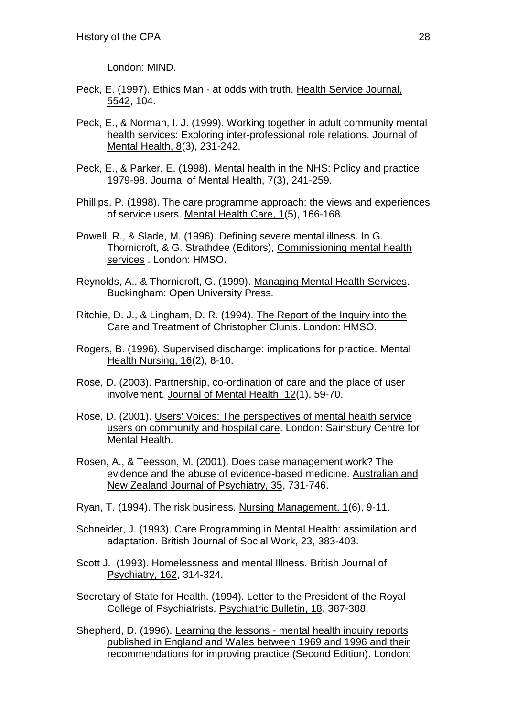London: MIND.

- Peck, E. (1997). Ethics Man at odds with truth. Health Service Journal, 5542, 104.
- Peck, E., & Norman, I. J. (1999). Working together in adult community mental health services: Exploring inter-professional role relations. Journal of Mental Health, 8(3), 231-242.
- Peck, E., & Parker, E. (1998). Mental health in the NHS: Policy and practice 1979-98. Journal of Mental Health, 7(3), 241-259.
- Phillips, P. (1998). The care programme approach: the views and experiences of service users. Mental Health Care, 1(5), 166-168.
- Powell, R., & Slade, M. (1996). Defining severe mental illness. In G. Thornicroft, & G. Strathdee (Editors), Commissioning mental health services . London: HMSO.
- Reynolds, A., & Thornicroft, G. (1999). Managing Mental Health Services. Buckingham: Open University Press.
- Ritchie, D. J., & Lingham, D. R. (1994). The Report of the Inquiry into the Care and Treatment of Christopher Clunis. London: HMSO.
- Rogers, B. (1996). Supervised discharge: implications for practice. Mental Health Nursing, 16(2), 8-10.
- Rose, D. (2003). Partnership, co-ordination of care and the place of user involvement. Journal of Mental Health, 12(1), 59-70.
- Rose, D. (2001). Users' Voices: The perspectives of mental health service users on community and hospital care. London: Sainsbury Centre for Mental Health.
- Rosen, A., & Teesson, M. (2001). Does case management work? The evidence and the abuse of evidence-based medicine. Australian and New Zealand Journal of Psychiatry, 35, 731-746.
- Ryan, T. (1994). The risk business. Nursing Management, 1(6), 9-11.
- Schneider, J. (1993). Care Programming in Mental Health: assimilation and adaptation. British Journal of Social Work, 23, 383-403.
- Scott J. (1993). Homelessness and mental Illness. British Journal of Psychiatry, 162, 314-324.
- Secretary of State for Health. (1994). Letter to the President of the Royal College of Psychiatrists. Psychiatric Bulletin, 18, 387-388.
- Shepherd, D. (1996). Learning the lessons mental health inquiry reports published in England and Wales between 1969 and 1996 and their recommendations for improving practice (Second Edition). London: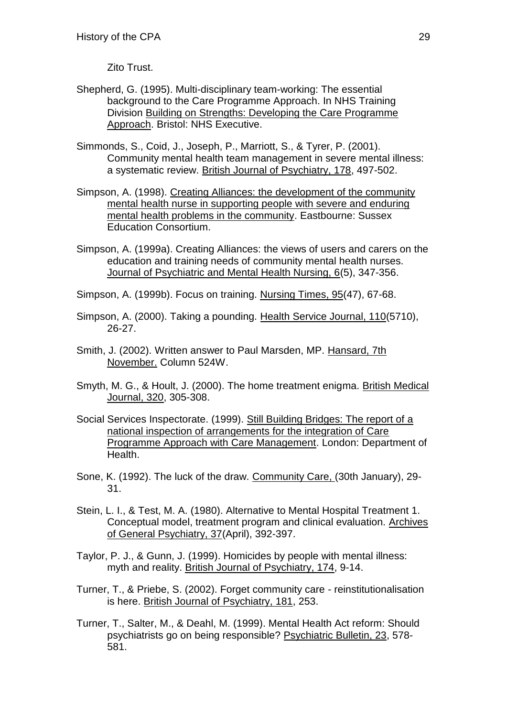Zito Trust.

- Shepherd, G. (1995). Multi-disciplinary team-working: The essential background to the Care Programme Approach. In NHS Training Division Building on Strengths: Developing the Care Programme Approach. Bristol: NHS Executive.
- Simmonds, S., Coid, J., Joseph, P., Marriott, S., & Tyrer, P. (2001). Community mental health team management in severe mental illness: a systematic review. British Journal of Psychiatry, 178, 497-502.
- Simpson, A. (1998). Creating Alliances: the development of the community mental health nurse in supporting people with severe and enduring mental health problems in the community. Eastbourne: Sussex Education Consortium.
- Simpson, A. (1999a). Creating Alliances: the views of users and carers on the education and training needs of community mental health nurses. Journal of Psychiatric and Mental Health Nursing, 6(5), 347-356.

Simpson, A. (1999b). Focus on training. Nursing Times, 95(47), 67-68.

- Simpson, A. (2000). Taking a pounding. Health Service Journal, 110(5710), 26-27.
- Smith, J. (2002). Written answer to Paul Marsden, MP. Hansard, 7th November. Column 524W.
- Smyth, M. G., & Hoult, J. (2000). The home treatment enigma. British Medical Journal, 320, 305-308.
- Social Services Inspectorate. (1999). Still Building Bridges: The report of a national inspection of arrangements for the integration of Care Programme Approach with Care Management. London: Department of Health.
- Sone, K. (1992). The luck of the draw. Community Care, (30th January), 29- 31.
- Stein, L. I., & Test, M. A. (1980). Alternative to Mental Hospital Treatment 1. Conceptual model, treatment program and clinical evaluation. Archives of General Psychiatry, 37(April), 392-397.
- Taylor, P. J., & Gunn, J. (1999). Homicides by people with mental illness: myth and reality. British Journal of Psychiatry, 174, 9-14.
- Turner, T., & Priebe, S. (2002). Forget community care reinstitutionalisation is here. British Journal of Psychiatry, 181, 253.
- Turner, T., Salter, M., & Deahl, M. (1999). Mental Health Act reform: Should psychiatrists go on being responsible? Psychiatric Bulletin, 23, 578- 581.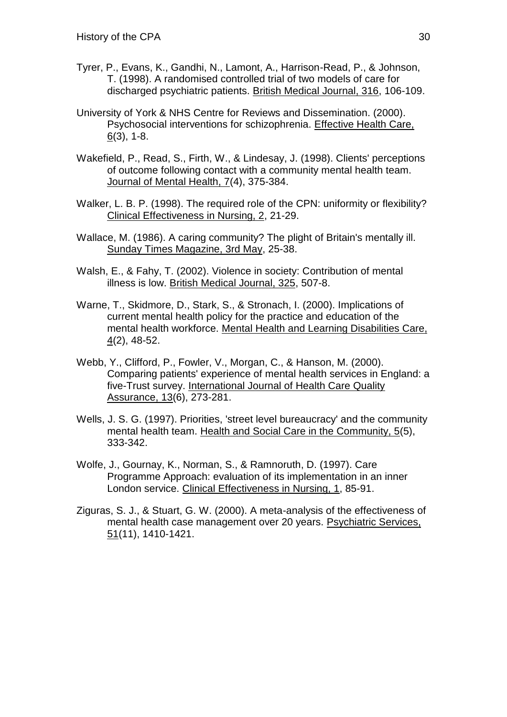- Tyrer, P., Evans, K., Gandhi, N., Lamont, A., Harrison-Read, P., & Johnson, T. (1998). A randomised controlled trial of two models of care for discharged psychiatric patients. British Medical Journal, 316, 106-109.
- University of York & NHS Centre for Reviews and Dissemination. (2000). Psychosocial interventions for schizophrenia. Effective Health Care,  $6(3)$ , 1-8.
- Wakefield, P., Read, S., Firth, W., & Lindesay, J. (1998). Clients' perceptions of outcome following contact with a community mental health team. Journal of Mental Health, 7(4), 375-384.
- Walker, L. B. P. (1998). The required role of the CPN: uniformity or flexibility? Clinical Effectiveness in Nursing, 2, 21-29.
- Wallace, M. (1986). A caring community? The plight of Britain's mentally ill. Sunday Times Magazine, 3rd May, 25-38.
- Walsh, E., & Fahy, T. (2002). Violence in society: Contribution of mental illness is low. British Medical Journal, 325, 507-8.
- Warne, T., Skidmore, D., Stark, S., & Stronach, I. (2000). Implications of current mental health policy for the practice and education of the mental health workforce. Mental Health and Learning Disabilities Care, 4(2), 48-52.
- Webb, Y., Clifford, P., Fowler, V., Morgan, C., & Hanson, M. (2000). Comparing patients' experience of mental health services in England: a five-Trust survey. International Journal of Health Care Quality Assurance, 13(6), 273-281.
- Wells, J. S. G. (1997). Priorities, 'street level bureaucracy' and the community mental health team. Health and Social Care in the Community, 5(5), 333-342.
- Wolfe, J., Gournay, K., Norman, S., & Ramnoruth, D. (1997). Care Programme Approach: evaluation of its implementation in an inner London service. Clinical Effectiveness in Nursing, 1, 85-91.
- Ziguras, S. J., & Stuart, G. W. (2000). A meta-analysis of the effectiveness of mental health case management over 20 years. Psychiatric Services, 51(11), 1410-1421.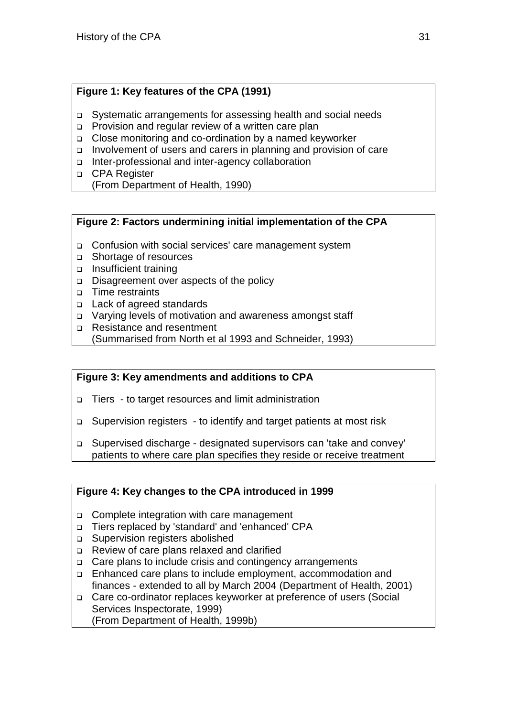## **Figure 1: Key features of the CPA (1991)**

- Systematic arrangements for assessing health and social needs
- Provision and regular review of a written care plan
- Close monitoring and co-ordination by a named keyworker
- Involvement of users and carers in planning and provision of care
- □ Inter-professional and inter-agency collaboration
- □ CPA Register
	- (From Department of Health, 1990)

## **Figure 2: Factors undermining initial implementation of the CPA**

- Confusion with social services' care management system
- □ Shortage of resources
- Insufficient training
- Disagreement over aspects of the policy
- Time restraints
- □ Lack of agreed standards
- Varying levels of motivation and awareness amongst staff
- □ Resistance and resentment
- (Summarised from North et al 1993 and Schneider, 1993)

## **Figure 3: Key amendments and additions to CPA**

- Tiers to target resources and limit administration
- □ Supervision registers to identify and target patients at most risk
- Supervised discharge designated supervisors can 'take and convey' patients to where care plan specifies they reside or receive treatment

## **Figure 4: Key changes to the CPA introduced in 1999**

- □ Complete integration with care management
- Tiers replaced by 'standard' and 'enhanced' CPA
- □ Supervision registers abolished
- Review of care plans relaxed and clarified
- □ Care plans to include crisis and contingency arrangements
- Enhanced care plans to include employment, accommodation and finances - extended to all by March 2004 (Department of Health, 2001)
- Care co-ordinator replaces keyworker at preference of users (Social Services Inspectorate, 1999) (From Department of Health, 1999b)